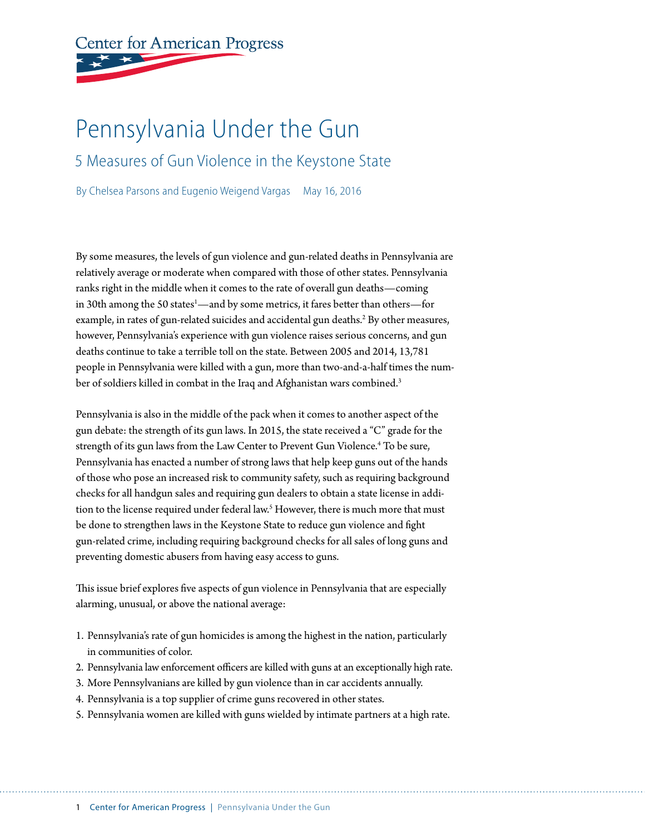# **Center for American Progress**

# Pennsylvania Under the Gun

5 Measures of Gun Violence in the Keystone State

By Chelsea Parsons and Eugenio Weigend Vargas May 16, 2016

By some measures, the levels of gun violence and gun-related deaths in Pennsylvania are relatively average or moderate when compared with those of other states. Pennsylvania ranks right in the middle when it comes to the rate of overall gun deaths—coming in 30th among the 50 states<sup>1</sup>—and by some metrics, it fares better than others—for example, in rates of gun-related suicides and accidental gun deaths.<sup>2</sup> By other measures, however, Pennsylvania's experience with gun violence raises serious concerns, and gun deaths continue to take a terrible toll on the state. Between 2005 and 2014, 13,781 people in Pennsylvania were killed with a gun, more than two-and-a-half times the number of soldiers killed in combat in the Iraq and Afghanistan wars combined.<sup>3</sup>

Pennsylvania is also in the middle of the pack when it comes to another aspect of the gun debate: the strength of its gun laws. In 2015, the state received a "C" grade for the strength of its gun laws from the Law Center to Prevent Gun Violence.<sup>4</sup> To be sure, Pennsylvania has enacted a number of strong laws that help keep guns out of the hands of those who pose an increased risk to community safety, such as requiring background checks for all handgun sales and requiring gun dealers to obtain a state license in addition to the license required under federal law.<sup>5</sup> However, there is much more that must be done to strengthen laws in the Keystone State to reduce gun violence and fight gun-related crime, including requiring background checks for all sales of long guns and preventing domestic abusers from having easy access to guns.

This issue brief explores five aspects of gun violence in Pennsylvania that are especially alarming, unusual, or above the national average:

- 1. Pennsylvania's rate of gun homicides is among the highest in the nation, particularly in communities of color.
- 2. Pennsylvania law enforcement officers are killed with guns at an exceptionally high rate.
- 3. More Pennsylvanians are killed by gun violence than in car accidents annually.
- 4. Pennsylvania is a top supplier of crime guns recovered in other states.
- 5. Pennsylvania women are killed with guns wielded by intimate partners at a high rate.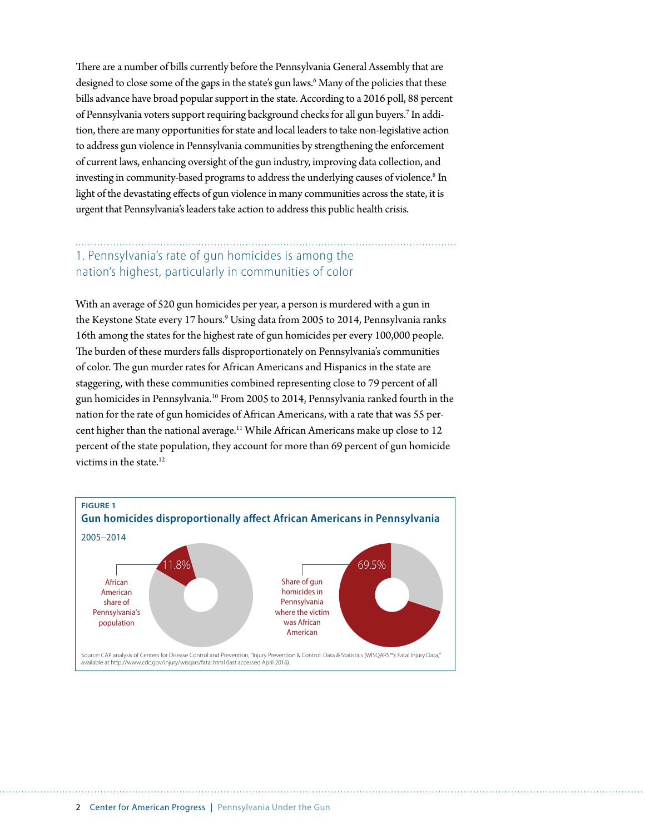There are a number of bills currently before the Pennsylvania General Assembly that are designed to close some of the gaps in the state's gun laws.<sup>6</sup> Many of the policies that these bills advance have broad popular support in the state. According to a 2016 poll, 88 percent of Pennsylvania voters support requiring background checks for all gun buyers.<sup>7</sup> In addition, there are many opportunities for state and local leaders to take non-legislative action to address gun violence in Pennsylvania communities by strengthening the enforcement of current laws, enhancing oversight of the gun industry, improving data collection, and investing in community-based programs to address the underlying causes of violence.<sup>8</sup> In light of the devastating effects of gun violence in many communities across the state, it is urgent that Pennsylvania's leaders take action to address this public health crisis.

# 1. Pennsylvania's rate of gun homicides is among the nation's highest, particularly in communities of color

With an average of 520 gun homicides per year, a person is murdered with a gun in the Keystone State every 17 hours.<sup>9</sup> Using data from 2005 to 2014, Pennsylvania ranks 16th among the states for the highest rate of gun homicides per every 100,000 people. The burden of these murders falls disproportionately on Pennsylvania's communities of color. The gun murder rates for African Americans and Hispanics in the state are staggering, with these communities combined representing close to 79 percent of all gun homicides in Pennsylvania.10 From 2005 to 2014, Pennsylvania ranked fourth in the nation for the rate of gun homicides of African Americans, with a rate that was 55 percent higher than the national average.<sup>11</sup> While African Americans make up close to 12 percent of the state population, they account for more than 69 percent of gun homicide victims in the state.<sup>12</sup>

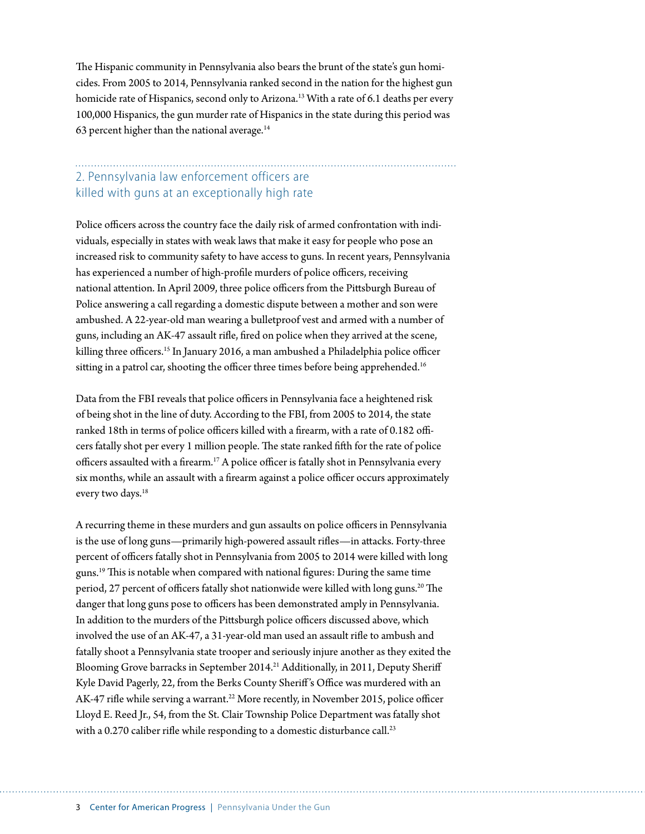The Hispanic community in Pennsylvania also bears the brunt of the state's gun homicides. From 2005 to 2014, Pennsylvania ranked second in the nation for the highest gun homicide rate of Hispanics, second only to Arizona.<sup>13</sup> With a rate of 6.1 deaths per every 100,000 Hispanics, the gun murder rate of Hispanics in the state during this period was 63 percent higher than the national average. $14$ 

### 2. Pennsylvania law enforcement officers are killed with guns at an exceptionally high rate

Police officers across the country face the daily risk of armed confrontation with individuals, especially in states with weak laws that make it easy for people who pose an increased risk to community safety to have access to guns. In recent years, Pennsylvania has experienced a number of high-profile murders of police officers, receiving national attention. In April 2009, three police officers from the Pittsburgh Bureau of Police answering a call regarding a domestic dispute between a mother and son were ambushed. A 22-year-old man wearing a bulletproof vest and armed with a number of guns, including an AK-47 assault rifle, fired on police when they arrived at the scene, killing three officers.<sup>15</sup> In January 2016, a man ambushed a Philadelphia police officer sitting in a patrol car, shooting the officer three times before being apprehended.<sup>16</sup>

Data from the FBI reveals that police officers in Pennsylvania face a heightened risk of being shot in the line of duty. According to the FBI, from 2005 to 2014, the state ranked 18th in terms of police officers killed with a firearm, with a rate of 0.182 officers fatally shot per every 1 million people. The state ranked fifth for the rate of police officers assaulted with a firearm.<sup>17</sup> A police officer is fatally shot in Pennsylvania every six months, while an assault with a firearm against a police officer occurs approximately every two days.<sup>18</sup>

A recurring theme in these murders and gun assaults on police officers in Pennsylvania is the use of long guns—primarily high-powered assault rifles—in attacks. Forty-three percent of officers fatally shot in Pennsylvania from 2005 to 2014 were killed with long guns.19 This is notable when compared with national figures: During the same time period, 27 percent of officers fatally shot nationwide were killed with long guns.<sup>20</sup> The danger that long guns pose to officers has been demonstrated amply in Pennsylvania. In addition to the murders of the Pittsburgh police officers discussed above, which involved the use of an AK-47, a 31-year-old man used an assault rifle to ambush and fatally shoot a Pennsylvania state trooper and seriously injure another as they exited the Blooming Grove barracks in September 2014.<sup>21</sup> Additionally, in 2011, Deputy Sheriff Kyle David Pagerly, 22, from the Berks County Sheriff 's Office was murdered with an AK-47 rifle while serving a warrant.<sup>22</sup> More recently, in November 2015, police officer Lloyd E. Reed Jr., 54, from the St. Clair Township Police Department was fatally shot with a 0.270 caliber rifle while responding to a domestic disturbance call.<sup>23</sup>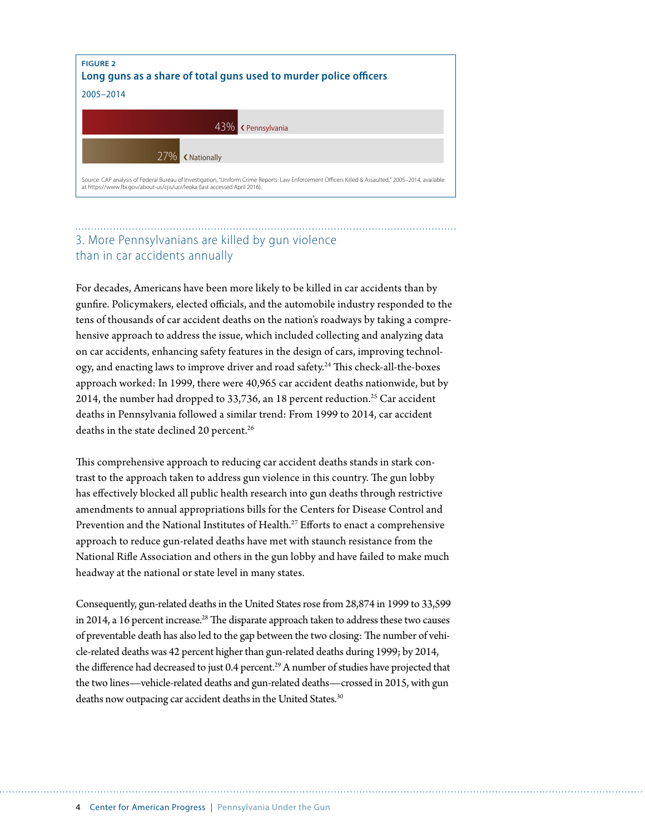

## 3. More Pennsylvanians are killed by gun violence than in car accidents annually

For decades, Americans have been more likely to be killed in car accidents than by gunfire. Policymakers, elected officials, and the automobile industry responded to the tens of thousands of car accident deaths on the nation's roadways by taking a comprehensive approach to address the issue, which included collecting and analyzing data on car accidents, enhancing safety features in the design of cars, improving technology, and enacting laws to improve driver and road safety.24 This check-all-the-boxes approach worked: In 1999, there were 40,965 car accident deaths nationwide, but by 2014, the number had dropped to 33,736, an 18 percent reduction.<sup>25</sup> Car accident deaths in Pennsylvania followed a similar trend: From 1999 to 2014, car accident deaths in the state declined 20 percent.<sup>26</sup>

This comprehensive approach to reducing car accident deaths stands in stark contrast to the approach taken to address gun violence in this country. The gun lobby has effectively blocked all public health research into gun deaths through restrictive amendments to annual appropriations bills for the Centers for Disease Control and Prevention and the National Institutes of Health.<sup>27</sup> Efforts to enact a comprehensive approach to reduce gun-related deaths have met with staunch resistance from the National Rifle Association and others in the gun lobby and have failed to make much headway at the national or state level in many states.

Consequently, gun-related deaths in the United States rose from 28,874 in 1999 to 33,599 in 2014, a 16 percent increase.<sup>28</sup> The disparate approach taken to address these two causes of preventable death has also led to the gap between the two closing: The number of vehicle-related deaths was 42 percent higher than gun-related deaths during 1999; by 2014, the difference had decreased to just 0.4 percent.<sup>29</sup> A number of studies have projected that the two lines—vehicle-related deaths and gun-related deaths—crossed in 2015, with gun deaths now outpacing car accident deaths in the United States.<sup>30</sup>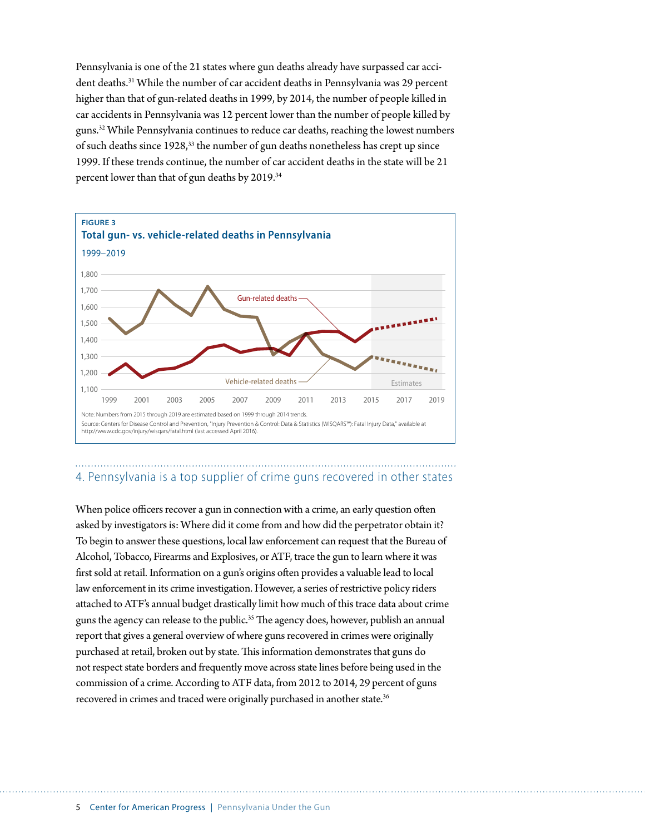Pennsylvania is one of the 21 states where gun deaths already have surpassed car accident deaths.31 While the number of car accident deaths in Pennsylvania was 29 percent higher than that of gun-related deaths in 1999, by 2014, the number of people killed in car accidents in Pennsylvania was 12 percent lower than the number of people killed by guns.32 While Pennsylvania continues to reduce car deaths, reaching the lowest numbers of such deaths since 1928,33 the number of gun deaths nonetheless has crept up since 1999. If these trends continue, the number of car accident deaths in the state will be 21 percent lower than that of gun deaths by 2019.34



#### 4. Pennsylvania is a top supplier of crime guns recovered in other states

When police officers recover a gun in connection with a crime, an early question often asked by investigators is: Where did it come from and how did the perpetrator obtain it? To begin to answer these questions, local law enforcement can request that the Bureau of Alcohol, Tobacco, Firearms and Explosives, or ATF, trace the gun to learn where it was first sold at retail. Information on a gun's origins often provides a valuable lead to local law enforcement in its crime investigation. However, a series of restrictive policy riders attached to ATF's annual budget drastically limit how much of this trace data about crime guns the agency can release to the public.<sup>35</sup> The agency does, however, publish an annual report that gives a general overview of where guns recovered in crimes were originally purchased at retail, broken out by state. This information demonstrates that guns do not respect state borders and frequently move across state lines before being used in the commission of a crime. According to ATF data, from 2012 to 2014, 29 percent of guns recovered in crimes and traced were originally purchased in another state.<sup>36</sup>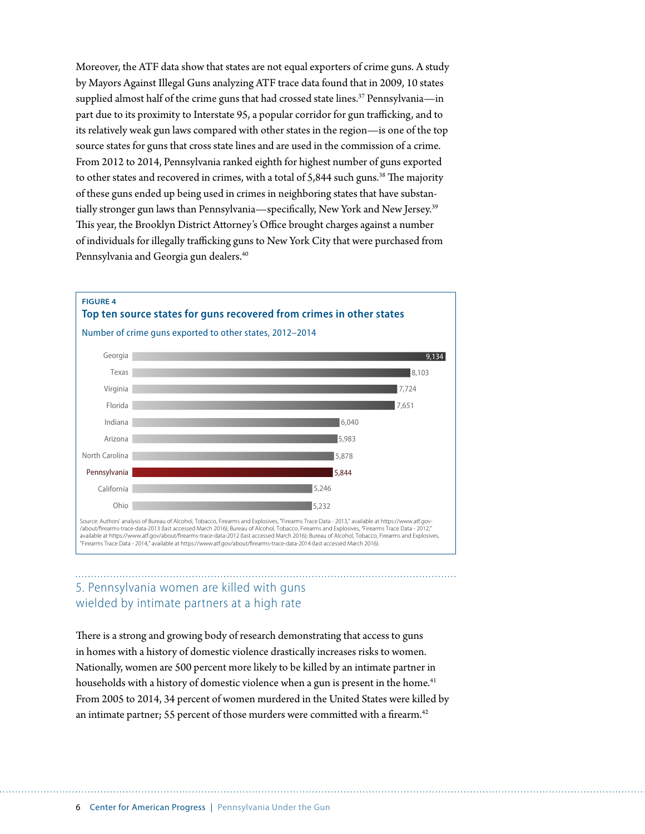Moreover, the ATF data show that states are not equal exporters of crime guns. A study by Mayors Against Illegal Guns analyzing ATF trace data found that in 2009, 10 states supplied almost half of the crime guns that had crossed state lines.<sup>37</sup> Pennsylvania—in part due to its proximity to Interstate 95, a popular corridor for gun trafficking, and to its relatively weak gun laws compared with other states in the region—is one of the top source states for guns that cross state lines and are used in the commission of a crime. From 2012 to 2014, Pennsylvania ranked eighth for highest number of guns exported to other states and recovered in crimes, with a total of  $5,844$  such guns.<sup>38</sup> The majority of these guns ended up being used in crimes in neighboring states that have substantially stronger gun laws than Pennsylvania—specifically, New York and New Jersey.<sup>39</sup> This year, the Brooklyn District Attorney's Office brought charges against a number of individuals for illegally trafficking guns to New York City that were purchased from Pennsylvania and Georgia gun dealers.<sup>40</sup>



#### 5. Pennsylvania women are killed with guns wielded by intimate partners at a high rate

There is a strong and growing body of research demonstrating that access to guns in homes with a history of domestic violence drastically increases risks to women. Nationally, women are 500 percent more likely to be killed by an intimate partner in households with a history of domestic violence when a gun is present in the home.<sup>41</sup> From 2005 to 2014, 34 percent of women murdered in the United States were killed by an intimate partner; 55 percent of those murders were committed with a firearm.<sup>42</sup>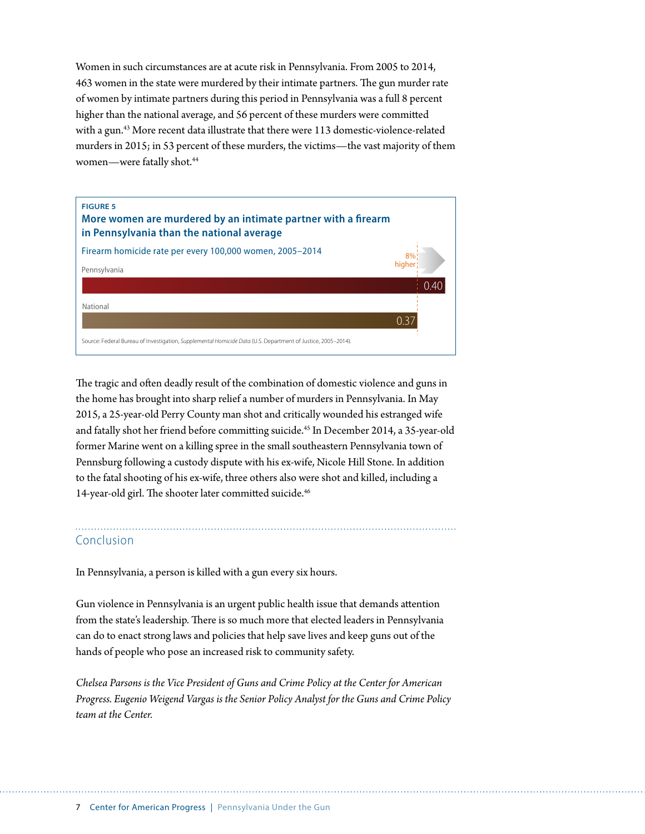Women in such circumstances are at acute risk in Pennsylvania. From 2005 to 2014, 463 women in the state were murdered by their intimate partners. The gun murder rate of women by intimate partners during this period in Pennsylvania was a full 8 percent higher than the national average, and 56 percent of these murders were committed with a gun.43 More recent data illustrate that there were 113 domestic-violence-related murders in 2015; in 53 percent of these murders, the victims—the vast majority of them women—were fatally shot.<sup>44</sup>



The tragic and often deadly result of the combination of domestic violence and guns in the home has brought into sharp relief a number of murders in Pennsylvania. In May 2015, a 25-year-old Perry County man shot and critically wounded his estranged wife and fatally shot her friend before committing suicide.<sup>45</sup> In December 2014, a 35-year-old former Marine went on a killing spree in the small southeastern Pennsylvania town of Pennsburg following a custody dispute with his ex-wife, Nicole Hill Stone. In addition to the fatal shooting of his ex-wife, three others also were shot and killed, including a 14-year-old girl. The shooter later committed suicide.<sup>46</sup>

#### Conclusion

In Pennsylvania, a person is killed with a gun every six hours.

Gun violence in Pennsylvania is an urgent public health issue that demands attention from the state's leadership. There is so much more that elected leaders in Pennsylvania can do to enact strong laws and policies that help save lives and keep guns out of the hands of people who pose an increased risk to community safety.

*Chelsea Parsons is the Vice President of Guns and Crime Policy at the Center for American Progress. Eugenio Weigend Vargas is the Senior Policy Analyst for the Guns and Crime Policy team at the Center.*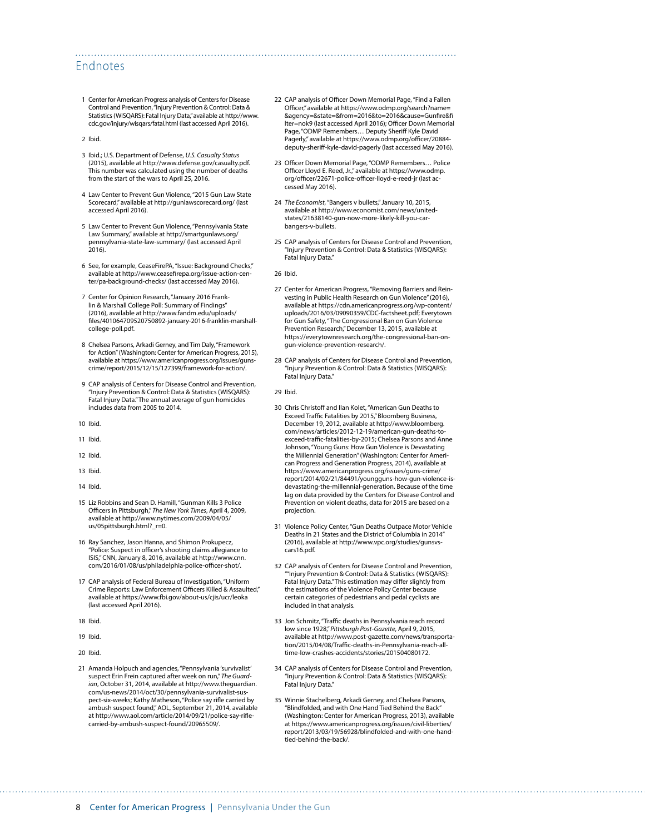#### Endnotes

- 1 Center for American Progress analysis of Centers for Disease Control and Prevention, "Injury Prevention & Control: Data & Statistics (WISQARS): Fatal Injury Data," available at [http://www.](http://www.cdc.gov/injury/wisqars/fatal.html) [cdc.gov/injury/wisqars/fatal.html](http://www.cdc.gov/injury/wisqars/fatal.html) (last accessed April 2016).
- 2 Ibid.
- 3 Ibid.; U.S. Department of Defense, *U.S. Casualty Status* (2015), available at <http://www.defense.gov/casualty.pdf>. This number was calculated using the number of deaths from the start of the wars to April 25, 2016.
- 4 Law Center to Prevent Gun Violence, "2015 Gun Law State Scorecard," available at<http://gunlawscorecard.org/>(last accessed April 2016).
- 5 Law Center to Prevent Gun Violence, "Pennsylvania State Law Summary," available at [http://smartgunlaws.org/](http://smartgunlaws.org/pennsylvania-state-law-summary/) [pennsylvania-state-law-summary/](http://smartgunlaws.org/pennsylvania-state-law-summary/) (last accessed April 2016).
- 6 See, for example, CeaseFirePA, "Issue: Background Checks," available at [http://www.ceasefirepa.org/issue-action-cen](http://www.ceasefirepa.org/issue-action-center/pa-background-checks/)[ter/pa-background-checks/](http://www.ceasefirepa.org/issue-action-center/pa-background-checks/) (last accessed May 2016).
- 7 Center for Opinion Research, "January 2016 Franklin & Marshall College Poll: Summary of Findings" (2016), available at [http://www.fandm.edu/uploads/](http://www.fandm.edu/uploads/files/401064709520750892-january-2016-franklin-marshall-college-poll.pdf) [files/401064709520750892-january-2016-franklin-marshall](http://www.fandm.edu/uploads/files/401064709520750892-january-2016-franklin-marshall-college-poll.pdf)[college-poll.pdf](http://www.fandm.edu/uploads/files/401064709520750892-january-2016-franklin-marshall-college-poll.pdf).
- 8 Chelsea Parsons, Arkadi Gerney, and Tim Daly, "Framework for Action" (Washington: Center for American Progress, 2015), available at [https://www.americanprogress.org/issues/guns](https://www.americanprogress.org/issues/guns-crime/report/2015/12/15/127399/framework-for-action/)[crime/report/2015/12/15/127399/framework-for-action/.](https://www.americanprogress.org/issues/guns-crime/report/2015/12/15/127399/framework-for-action/)
- 9 CAP analysis of Centers for Disease Control and Prevention, "Injury Prevention & Control: Data & Statistics (WISQARS): Fatal Injury Data." The annual average of gun homicides includes data from 2005 to 2014.
- 10 Ibid.
- 11 Ibid.
- 12 Ibid.
- 13 Ibid.
- 14 Ibid.
- 15 Liz Robbins and Sean D. Hamill, "Gunman Kills 3 Police Officers in Pittsburgh," *The New York Times*, April 4, 2009, available at [http://www.nytimes.com/2009/04/05/](http://www.nytimes.com/2009/04/05/us/05pittsburgh.html?_r=0) us/05pittsburgh.html? $r=0$ .
- 16 Ray Sanchez, Jason Hanna, and Shimon Prokupecz, "Police: Suspect in officer's shooting claims allegiance to ISIS," CNN, January 8, 2016, available at [http://www.cnn.](http://www.cnn.com/2016/01/08/us/philadelphia-police-officer-shot/) [com/2016/01/08/us/philadelphia-police-officer-shot/.](http://www.cnn.com/2016/01/08/us/philadelphia-police-officer-shot/)
- 17 CAP analysis of Federal Bureau of Investigation, "Uniform Crime Reports: Law Enforcement Officers Killed & Assaulted," available at<https://www.fbi.gov/about-us/cjis/ucr/leoka> (last accessed April 2016).
- 18 Ibid.
- 19 Ibid.
- 20 Ibid.
- 21 Amanda Holpuch and agencies, "Pennsylvania 'survivalist' suspect Erin Frein captured after week on run," *The Guardian*, October 31, 2014, available at [http://www.theguardian.](http://www.theguardian.com/us-news/2014/oct/30/pennsylvania-survivalist-suspect-six-weeks) [com/us-news/2014/oct/30/pennsylvania-survivalist-sus](http://www.theguardian.com/us-news/2014/oct/30/pennsylvania-survivalist-suspect-six-weeks)[pect-six-weeks](http://www.theguardian.com/us-news/2014/oct/30/pennsylvania-survivalist-suspect-six-weeks); Kathy Matheson, "Police say rifle carried by ambush suspect found," AOL, September 21, 2014, available at [http://www.aol.com/article/2014/09/21/police-say-rifle](http://www.aol.com/article/2014/09/21/police-say-rifle-carried-by-ambush-suspect-found/20965509/)[carried-by-ambush-suspect-found/20965509/.](http://www.aol.com/article/2014/09/21/police-say-rifle-carried-by-ambush-suspect-found/20965509/)
- 22 CAP analysis of Officer Down Memorial Page, "Find a Fallen Officer," available at [https://www.odmp.org/search?name=](https://www.odmp.org/search?name=&agency=&state=&from=2016&to=2016&cause=Gunfire&filter=nok9) [&agency=&state=&from=2016&to=2016&cause=Gunfire&fi](https://www.odmp.org/search?name=&agency=&state=&from=2016&to=2016&cause=Gunfire&filter=nok9) [lter=nok9](https://www.odmp.org/search?name=&agency=&state=&from=2016&to=2016&cause=Gunfire&filter=nok9) (last accessed April 2016); Officer Down Memorial Page, "ODMP Remembers… Deputy Sheriff Kyle David Pagerly," available at [https://www.odmp.org/officer/20884](https://www.odmp.org/officer/20884-deputy-sheriff-kyle-david-pagerly) [deputy-sheriff-kyle-david-pagerly](https://www.odmp.org/officer/20884-deputy-sheriff-kyle-david-pagerly) (last accessed May 2016).
- 23 Officer Down Memorial Page, "ODMP Remembers… Police Officer Lloyd E. Reed, Jr.," available at [https://www.odmp.](https://www.odmp.org/officer/22671-police-officer-lloyd-e-reed-jr) [org/officer/22671-police-officer-lloyd-e-reed-jr](https://www.odmp.org/officer/22671-police-officer-lloyd-e-reed-jr) (last accessed May 2016).
- 24 *The Economist*, "Bangers v bullets," January 10, 2015, available at [http://www.economist.com/news/united](http://www.economist.com/news/united-states/21638140-gun-now-more-likely-kill-you-car-bangers-v-bullets)[states/21638140-gun-now-more-likely-kill-you-car](http://www.economist.com/news/united-states/21638140-gun-now-more-likely-kill-you-car-bangers-v-bullets)[bangers-v-bullets.](http://www.economist.com/news/united-states/21638140-gun-now-more-likely-kill-you-car-bangers-v-bullets)
- 25 CAP analysis of Centers for Disease Control and Prevention, "Injury Prevention & Control: Data & Statistics (WISQARS): Fatal Injury Data."
- 26 Ibid.

- 27 Center for American Progress, "Removing Barriers and Reinvesting in Public Health Research on Gun Violence" (2016), available at [https://cdn.americanprogress.org/wp-content/](https://cdn.americanprogress.org/wp-content/uploads/2016/03/09090359/CDC-factsheet.pdf) [uploads/2016/03/09090359/CDC-factsheet.pdf](https://cdn.americanprogress.org/wp-content/uploads/2016/03/09090359/CDC-factsheet.pdf); Everytown for Gun Safety, "The Congressional Ban on Gun Violence Prevention Research," December 13, 2015, available at [https://everytownresearch.org/the-congressional-ban-on](https://everytownresearch.org/the-congressional-ban-on-gun-violence-prevention-research/)[gun-violence-prevention-research/.](https://everytownresearch.org/the-congressional-ban-on-gun-violence-prevention-research/)
- 28 CAP analysis of Centers for Disease Control and Prevention, "Injury Prevention & Control: Data & Statistics (WISQARS): Fatal Injury Data."
- 29 Ibid.
- 30 Chris Christoff and Ilan Kolet, "American Gun Deaths to Exceed Traffic Fatalities by 2015," Bloomberg Business, December 19, 2012, available at [http://www.bloomberg.](http://www.bloomberg.com/news/articles/2012-12-19/american-gun-deaths-to-exceed-traffic-fatalities-by-2015) [com/news/articles/2012-12-19/american-gun-deaths-to](http://www.bloomberg.com/news/articles/2012-12-19/american-gun-deaths-to-exceed-traffic-fatalities-by-2015)[exceed-traffic-fatalities-by-2015](http://www.bloomberg.com/news/articles/2012-12-19/american-gun-deaths-to-exceed-traffic-fatalities-by-2015); Chelsea Parsons and Anne Johnson, "Young Guns: How Gun Violence is Devastating the Millennial Generation" (Washington: Center for American Progress and Generation Progress, 2014), available at [https://www.americanprogress.org/issues/guns-crime/](https://www.americanprogress.org/issues/guns-crime/report/2014/02/21/84491/youngguns-how-gun-violence-is-devastating-the-millennial-generation) [report/2014/02/21/84491/youngguns-how-gun-violence-is](https://www.americanprogress.org/issues/guns-crime/report/2014/02/21/84491/youngguns-how-gun-violence-is-devastating-the-millennial-generation)[devastating-the-millennial-generation.](https://www.americanprogress.org/issues/guns-crime/report/2014/02/21/84491/youngguns-how-gun-violence-is-devastating-the-millennial-generation) Because of the time lag on data provided by the Centers for Disease Control and Prevention on violent deaths, data for 2015 are based on a projection.
- 31 Violence Policy Center, "Gun Deaths Outpace Motor Vehicle Deaths in 21 States and the District of Columbia in 2014" (2016), available at [http://www.vpc.org/studies/gunsvs](http://www.vpc.org/studies/gunsvscars16.pdf)[cars16.pdf](http://www.vpc.org/studies/gunsvscars16.pdf).
- 32 CAP analysis of Centers for Disease Control and Prevention, ""Injury Prevention & Control: Data & Statistics (WISQARS): Fatal Injury Data." This estimation may differ slightly from the estimations of the Violence Policy Center because certain categories of pedestrians and pedal cyclists are included in that analysis.
- 33 Jon Schmitz, "Traffic deaths in Pennsylvania reach record low since 1928," *Pittsburgh Post-Gazette*, April 9, 2015, available at [http://www.post-gazette.com/news/transporta](http://www.post-gazette.com/news/transportation/2015/04/08/Traffic-deaths-in-Pennsylvania-reach-all-time-low-crashes-accidents/stories/201504080172)[tion/2015/04/08/Traffic-deaths-in-Pennsylvania-reach-all](http://www.post-gazette.com/news/transportation/2015/04/08/Traffic-deaths-in-Pennsylvania-reach-all-time-low-crashes-accidents/stories/201504080172)[time-low-crashes-accidents/stories/201504080172.](http://www.post-gazette.com/news/transportation/2015/04/08/Traffic-deaths-in-Pennsylvania-reach-all-time-low-crashes-accidents/stories/201504080172)
- 34 CAP analysis of Centers for Disease Control and Prevention, "Injury Prevention & Control: Data & Statistics (WISQARS): Fatal Injury Data."
- 35 Winnie Stachelberg, Arkadi Gerney, and Chelsea Parsons, "Blindfolded, and with One Hand Tied Behind the Back" (Washington: Center for American Progress, 2013), available at [https://www.americanprogress.org/issues/civil-liberties/](https://www.americanprogress.org/issues/civil-liberties/report/2013/03/19/56928/blindfolded-and-with-one-hand-tied-behind-the-back/) [report/2013/03/19/56928/blindfolded-and-with-one-hand](https://www.americanprogress.org/issues/civil-liberties/report/2013/03/19/56928/blindfolded-and-with-one-hand-tied-behind-the-back/)[tied-behind-the-back/](https://www.americanprogress.org/issues/civil-liberties/report/2013/03/19/56928/blindfolded-and-with-one-hand-tied-behind-the-back/).